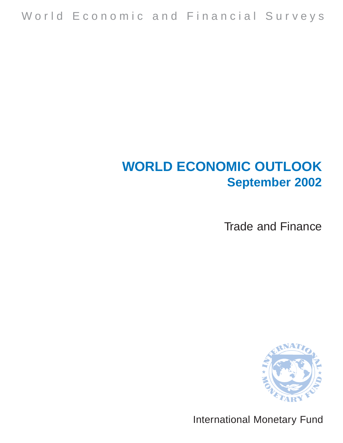# **WORLD ECONOMIC OUTLOOK September 2002**

Trade and Finance



International Monetary Fund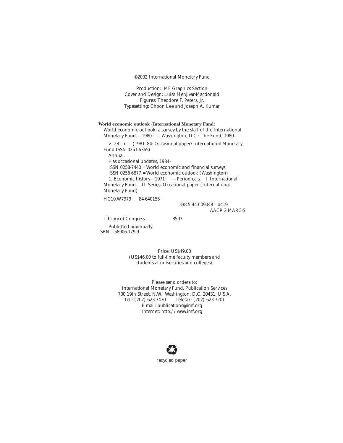©2002 International Monetary Fund

Production: IMF Graphics Section Cover and Design: Luisa Menjivar-Macdonald Figures: Theodore F. Peters, Jr. Typesetting: Choon Lee and Joseph A. Kumar

**World economic outlook (International Monetary Fund)** World economic outlook: a survey by the staff of the International Monetary Fund.—1980– —Washington, D.C.: The Fund, 1980–

v.; 28 cm.—(1981–84: Occasional paper/International Monetary Fund ISSN 0251-6365)

Annual.

Has occasional updates, 1984–

ISSN 0258-7440 = World economic and financial surveys ISSN 0256-6877 = World economic outlook (Washington) 1. Economic history—1971– —Periodicals. I. International Monetary Fund. II. Series: Occasional paper (International Monetary Fund)

HC10.W7979 84-640155

338.5'443'09048—dc19 AACR 2 MARC-S

Library of Congress 8507

Published biannually. ISBN 1-58906-179-9

> Price: US\$49.00 (US\$46.00 to full-time faculty members and students at universities and colleges)

Please send orders to: International Monetary Fund, Publication Services 700 19th Street, N.W., Washington, D.C. 20431, U.S.A. Telefax: (202) 623-7201 E-mail: publications@imf.org Internet: http://www.imf.org

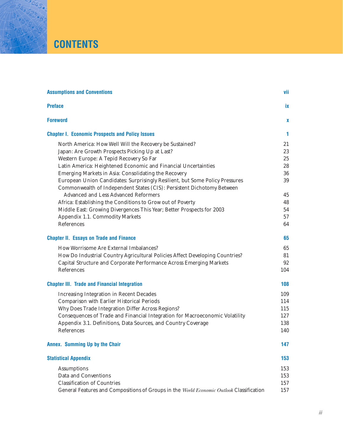## **CONTENTS**

| <b>Assumptions and Conventions</b>                                                                                                                     | vii |
|--------------------------------------------------------------------------------------------------------------------------------------------------------|-----|
| <b>Preface</b>                                                                                                                                         | İХ  |
| <b>Foreword</b>                                                                                                                                        | x   |
| <b>Chapter I. Economic Prospects and Policy Issues</b>                                                                                                 | 1   |
| North America: How Well Will the Recovery be Sustained?                                                                                                | 21  |
| Japan: Are Growth Prospects Picking Up at Last?                                                                                                        | 23  |
| Western Europe: A Tepid Recovery So Far                                                                                                                | 25  |
| Latin America: Heightened Economic and Financial Uncertainties                                                                                         | 28  |
| Emerging Markets in Asia: Consolidating the Recovery                                                                                                   | 36  |
| European Union Candidates: Surprisingly Resilient, but Some Policy Pressures<br>Commonwealth of Independent States (CIS): Persistent Dichotomy Between | 39  |
| <b>Advanced and Less Advanced Reformers</b>                                                                                                            | 45  |
| Africa: Establishing the Conditions to Grow out of Poverty                                                                                             | 48  |
| Middle East: Growing Divergences This Year; Better Prospects for 2003                                                                                  | 54  |
| Appendix 1.1. Commodity Markets                                                                                                                        | 57  |
| References                                                                                                                                             | 64  |
| <b>Chapter II. Essays on Trade and Finance</b>                                                                                                         | 65  |
| How Worrisome Are External Imbalances?                                                                                                                 | 65  |
| How Do Industrial Country Agricultural Policies Affect Developing Countries?                                                                           | 81  |
| Capital Structure and Corporate Performance Across Emerging Markets                                                                                    | 92  |
| References                                                                                                                                             | 104 |
| <b>Chapter III. Trade and Financial Integration</b>                                                                                                    | 108 |
| <b>Increasing Integration in Recent Decades</b>                                                                                                        | 109 |
| Comparison with Earlier Historical Periods                                                                                                             | 114 |
| Why Does Trade Integration Differ Across Regions?                                                                                                      | 115 |
| Consequences of Trade and Financial Integration for Macroeconomic Volatility                                                                           | 127 |
| Appendix 3.1. Definitions, Data Sources, and Country Coverage                                                                                          | 138 |
| References                                                                                                                                             | 140 |
| Annex. Summing Up by the Chair                                                                                                                         | 147 |
| <b>Statistical Appendix</b>                                                                                                                            | 153 |
| <b>Assumptions</b>                                                                                                                                     | 153 |
| Data and Conventions                                                                                                                                   | 153 |
| <b>Classification of Countries</b>                                                                                                                     | 157 |
| General Features and Compositions of Groups in the World Economic Outlook Classification                                                               | 157 |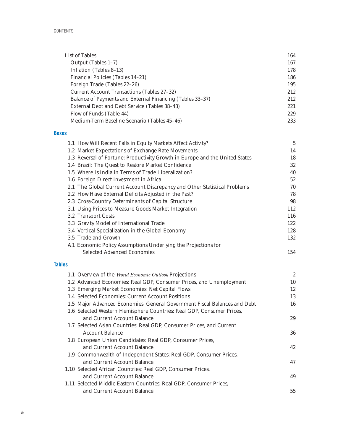| List of Tables                                            | 164 |
|-----------------------------------------------------------|-----|
| Output (Tables 1-7)                                       | 167 |
| Inflation (Tables 8–13)                                   | 178 |
| Financial Policies (Tables 14–21)                         | 186 |
| Foreign Trade (Tables 22-26)                              | 195 |
| Current Account Transactions (Tables 27–32)               | 212 |
| Balance of Payments and External Financing (Tables 33–37) | 212 |
| External Debt and Debt Service (Tables 38–43)             | 221 |
| Flow of Funds (Table 44)                                  | 229 |
| Medium-Term Baseline Scenario (Tables 45–46)              | 233 |

#### **Boxes**

| 1.1 How Will Recent Falls in Equity Markets Affect Activity?                 | $\overline{5}$ |
|------------------------------------------------------------------------------|----------------|
| 1.2 Market Expectations of Exchange Rate Movements                           | 14             |
| 1.3 Reversal of Fortune: Productivity Growth in Europe and the United States | 18             |
| 1.4 Brazil: The Quest to Restore Market Confidence                           | 32             |
| 1.5 Where Is India in Terms of Trade Liberalization?                         | 40             |
| 1.6 Foreign Direct Investment in Africa                                      | 52             |
| 2.1 The Global Current Account Discrepancy and Other Statistical Problems    | 70             |
| 2.2 How Have External Deficits Adjusted in the Past?                         | 78             |
| 2.3 Cross-Country Determinants of Capital Structure                          | 98             |
| 3.1 Using Prices to Measure Goods Market Integration                         | 112            |
| 3.2 Transport Costs                                                          | 116            |
| 3.3 Gravity Model of International Trade                                     | 122            |
| 3.4 Vertical Specialization in the Global Economy                            | 128            |
| 3.5 Trade and Growth                                                         | 132            |
| A.1 Economic Policy Assumptions Underlying the Projections for               |                |
| <b>Selected Advanced Economies</b>                                           | 154            |

#### **Tables**

| 1.1 Overview of the World Economic Outlook Projections                    | $\boldsymbol{2}$ |
|---------------------------------------------------------------------------|------------------|
| 1.2 Advanced Economies: Real GDP, Consumer Prices, and Unemployment       | 10               |
| 1.3 Emerging Market Economies: Net Capital Flows                          | 12               |
| 1.4 Selected Economies: Current Account Positions                         | 13               |
| 1.5 Major Advanced Economies: General Government Fiscal Balances and Debt | 16               |
| 1.6 Selected Western Hemisphere Countries: Real GDP, Consumer Prices,     |                  |
| and Current Account Balance                                               | 29               |
| 1.7 Selected Asian Countries: Real GDP, Consumer Prices, and Current      |                  |
| <b>Account Balance</b>                                                    | 36               |
| 1.8 European Union Candidates: Real GDP, Consumer Prices,                 |                  |
| and Current Account Balance                                               | 42               |
| 1.9 Commonwealth of Independent States: Real GDP, Consumer Prices,        |                  |
| and Current Account Balance                                               | 47               |
| 1.10 Selected African Countries: Real GDP, Consumer Prices,               |                  |
| and Current Account Balance                                               | 49               |
| 1.11 Selected Middle Eastern Countries: Real GDP, Consumer Prices,        |                  |
| and Current Account Balance                                               | 55               |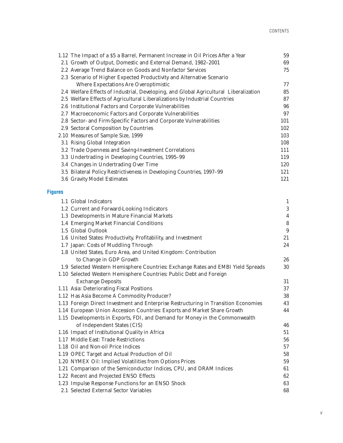|                | 1.12 The Impact of a \$5 a Barrel, Permanent Increase in Oil Prices After a Year                           | 59               |
|----------------|------------------------------------------------------------------------------------------------------------|------------------|
|                | 2.1 Growth of Output, Domestic and External Demand, 1982-2001                                              | 69               |
|                | 2.2 Average Trend Balance on Goods and Nonfactor Services                                                  | 75               |
|                | 2.3 Scenario of Higher Expected Productivity and Alternative Scenario                                      |                  |
|                | <b>Where Expectations Are Overoptimistic</b>                                                               | 77               |
|                | 2.4 Welfare Effects of Industrial, Developing, and Global Agricultural Liberalization                      | 85               |
|                | 2.5 Welfare Effects of Agricultural Liberalizations by Industrial Countries                                | 87               |
|                | 2.6 Institutional Factors and Corporate Vulnerabilities                                                    | 96               |
|                | 2.7 Macroeconomic Factors and Corporate Vulnerabilities                                                    | 97               |
|                | 2.8 Sector- and Firm-Specific Factors and Corporate Vulnerabilities                                        | 101              |
|                | 2.9 Sectoral Composition by Countries                                                                      | 102              |
|                | 2.10 Measures of Sample Size, 1999                                                                         | 103              |
|                | 3.1 Rising Global Integration                                                                              | 108              |
|                | 3.2 Trade Openness and Saving-Investment Correlations                                                      | 111              |
|                | 3.3 Undertrading in Developing Countries, 1995-99                                                          | 119              |
|                | 3.4 Changes in Undertrading Over Time                                                                      | 120              |
|                | 3.5 Bilateral Policy Restrictiveness in Developing Countries, 1997-99                                      | 121              |
|                | 3.6 Gravity Model Estimates                                                                                | 121              |
| <b>Figures</b> |                                                                                                            |                  |
|                | 1.1 Global Indicators                                                                                      | $\mathbf{1}$     |
|                | 1.2 Current and Forward-Looking Indicators                                                                 | $\boldsymbol{3}$ |
|                | 1.3 Developments in Mature Financial Markets                                                               | $\overline{4}$   |
|                | 1.4 Emerging Market Financial Conditions                                                                   | $\bf 8$          |
|                | 1.5 Global Outlook                                                                                         | $\boldsymbol{9}$ |
|                | 1.6 United States: Productivity, Profitability, and Investment                                             | 21               |
|                | 1.7 Japan: Costs of Muddling Through                                                                       | 24               |
|                | 1.8 United States, Euro Area, and United Kingdom: Contribution                                             |                  |
|                | to Change in GDP Growth                                                                                    | 26               |
|                | 1.9 Selected Western Hemisphere Countries: Exchange Rates and EMBI Yield Spreads                           | 30               |
|                | 1.10 Selected Western Hemisphere Countries: Public Debt and Foreign                                        |                  |
|                | <b>Exchange Deposits</b>                                                                                   | 31               |
|                | 1.11 Asia: Deteriorating Fiscal Positions                                                                  | 37               |
|                | 1.12 Has Asia Become A Commodity Producer?                                                                 | 38               |
|                | 1.13 Foreign Direct Investment and Enterprise Restructuring in Transition Economies                        | 43               |
|                | 1.14 European Union Accession Countries: Exports and Market Share Growth                                   | 44               |
|                | 1.15 Developments in Exports, FDI, and Demand for Money in the Commonwealth<br>of Independent States (CIS) |                  |
|                | 1.16 Impact of Institutional Quality in Africa                                                             | 46<br>51         |
|                | 1.17 Middle East: Trade Restrictions                                                                       | 56               |
|                | 1.18 Oil and Non-oil Price Indices                                                                         | 57               |
|                | 1.19 OPEC Target and Actual Production of Oil                                                              | 58               |
|                | 1.20 NYMEX Oil: Implied Volatilities from Options Prices                                                   | 59               |
|                | 1.21 Comparison of the Semiconductor Indices, CPU, and DRAM Indices                                        | 61               |
|                | 1.22 Recent and Projected ENSO Effects                                                                     | 62               |
|                | 1.23 Impulse Response Functions for an ENSO Shock                                                          | 63               |
|                | 2.1 Selected External Sector Variables                                                                     | 68               |
|                |                                                                                                            |                  |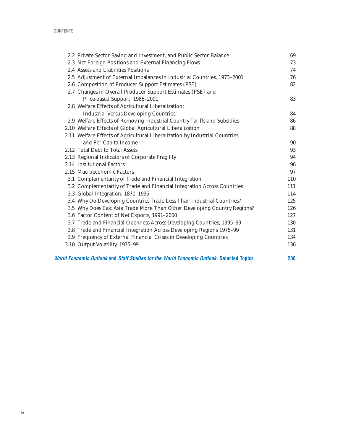| 2.2 Private Sector Saving and Investment, and Public Sector Balance                             | 69  |
|-------------------------------------------------------------------------------------------------|-----|
| 2.3 Net Foreign Positions and External Financing Flows                                          | 73  |
| 2.4 Assets and Liabilities Positions                                                            | 74  |
| 2.5 Adjustment of External Imbalances in Industrial Countries, 1973-2001                        | 76  |
| 2.6 Composition of Producer Support Estimates (PSE)                                             | 82  |
| 2.7 Changes in Overall Producer Support Estimates (PSE) and                                     |     |
| Price-based Support, 1986-2001                                                                  | 83  |
| 2.8 Welfare Effects of Agricultural Liberalization:                                             |     |
| <b>Industrial Versus Developing Countries</b>                                                   | 84  |
| 2.9 Welfare Effects of Removing Industrial Country Tariffs and Subsidies                        | 86  |
| 2.10 Welfare Effects of Global Agricultural Liberalization                                      | 88  |
| 2.11 Welfare Effects of Agricultural Liberalization by Industrial Countries                     |     |
| and Per Capita Income                                                                           | 90  |
| 2.12 Total Debt to Total Assets                                                                 | 93  |
| 2.13 Regional Indicators of Corporate Fragility                                                 | 94  |
| 2.14 Institutional Factors                                                                      | 96  |
| 2.15 Macroeconomic Factors                                                                      | 97  |
| 3.1 Complementarity of Trade and Financial Integration                                          | 110 |
| 3.2 Complementarity of Trade and Financial Integration Across Countries                         | 111 |
| 3.3 Global Integration, 1870-1995                                                               | 114 |
| 3.4 Why Do Developing Countries Trade Less Than Industrial Countries?                           | 125 |
| 3.5 Why Does East Asia Trade More Than Other Developing Country Regions?                        | 126 |
| 3.6 Factor Content of Net Exports, 1991-2000                                                    | 127 |
| 3.7 Trade and Financial Openness Across Developing Countries, 1995-99                           | 130 |
| 3.8 Trade and Financial Integration Across Developing Regions 1975-99                           | 131 |
| 3.9 Frequency of External Financial Crises in Developing Countries                              | 134 |
| 3.10 Output Volatility, 1975-99                                                                 | 136 |
| <b>World Economic Outlook and Staff Studies for the World Economic Outlook, Selected Topics</b> | 236 |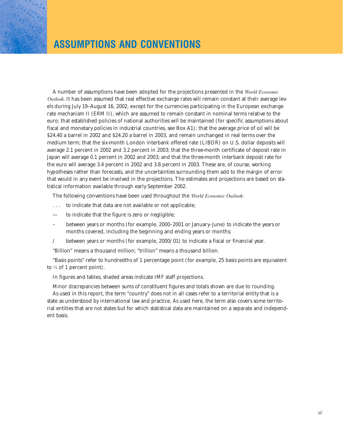A number of assumptions have been adopted for the projections presented in the *World Economic Outlook*. It has been assumed that real effective exchange rates will remain constant at their average levels during July 19–August 16, 2002, except for the currencies participating in the European exchange rate mechanism II (ERM II), which are assumed to remain constant in nominal terms relative to the euro; that established policies of national authorities will be maintained (for specific assumptions about fiscal and monetary policies in industrial countries, see Box A1); that the average price of oil will be \$24.40 a barrel in 2002 and \$24.20 a barrel in 2003, and remain unchanged in real terms over the medium term; that the six-month London interbank offered rate (LIBOR) on U.S. dollar deposits will average 2.1 percent in 2002 and 3.2 percent in 2003; that the three-month certificate of deposit rate in Japan will average 0.1 percent in 2002 and 2003; and that the three-month interbank deposit rate for the euro will average 3.4 percent in 2002 and 3.8 percent in 2003. These are, of course, working hypotheses rather than forecasts, and the uncertainties surrounding them add to the margin of error that would in any event be involved in the projections. The estimates and projections are based on statistical information available through early September 2002.

The following conventions have been used throughout the *World Economic Outlook:*

- . . . to indicate that data are not available or not applicable;
- to indicate that the figure is zero or negligible;
- between years or months (for example, 2000–2001 or January–June) to indicate the years or months covered, including the beginning and ending years or months;
- / between years or months (for example, 2000/01) to indicate a fiscal or financial year.

"Billion" means a thousand million; "trillion" means a thousand billion.

"Basis points" refer to hundredths of 1 percentage point (for example, 25 basis points are equivalent to  $\frac{1}{4}$  of 1 percent point).

In figures and tables, shaded areas indicate IMF staff projections.

Minor discrepancies between sums of constituent figures and totals shown are due to rounding. As used in this report, the term "country" does not in all cases refer to a territorial entity that is a state as understood by international law and practice. As used here, the term also covers some territorial entities that are not states but for which statistical data are maintained on a separate and independent basis.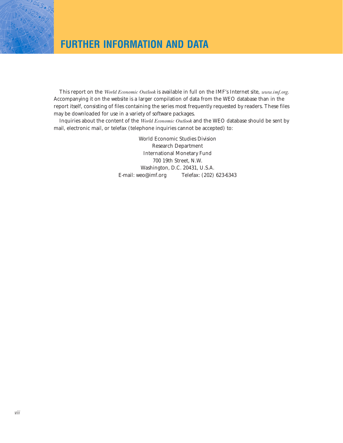## **FURTHER INFORMATION AND DATA**

This report on the *World Economic Outlook* is available in full on the IMF's Internet site, *www.imf.org*. Accompanying it on the website is a larger compilation of data from the WEO database than in the report itself, consisting of files containing the series most frequently requested by readers. These files may be downloaded for use in a variety of software packages.

Inquiries about the content of the *World Economic Outlook* and the WEO database should be sent by mail, electronic mail, or telefax (telephone inquiries cannot be accepted) to:

> World Economic Studies Division Research Department International Monetary Fund 700 19th Street, N.W. Washington, D.C. 20431, U.S.A. E-mail: weo@imf.org Telefax: (202) 623-6343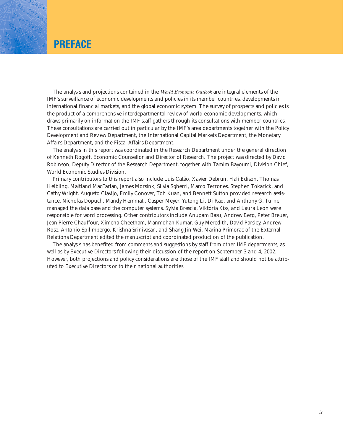### **PREFACE**

The analysis and projections contained in the *World Economic Outlook* are integral elements of the IMF's surveillance of economic developments and policies in its member countries, developments in international financial markets, and the global economic system. The survey of prospects and policies is the product of a comprehensive interdepartmental review of world economic developments, which draws primarily on information the IMF staff gathers through its consultations with member countries. These consultations are carried out in particular by the IMF's area departments together with the Policy Development and Review Department, the International Capital Markets Department, the Monetary Affairs Department, and the Fiscal Affairs Department.

The analysis in this report was coordinated in the Research Department under the general direction of Kenneth Rogoff, Economic Counsellor and Director of Research. The project was directed by David Robinson, Deputy Director of the Research Department, together with Tamim Bayoumi, Division Chief, World Economic Studies Division.

Primary contributors to this report also include Luis Catão, Xavier Debrun, Hali Edison, Thomas Helbling, Maitland MacFarlan, James Morsink, Silvia Sgherri, Marco Terrones, Stephen Tokarick, and Cathy Wright. Augusto Clavijo, Emily Conover, Toh Kuan, and Bennett Sutton provided research assistance. Nicholas Dopuch, Mandy Hemmati, Casper Meyer, Yutong Li, Di Rao, and Anthony G. Turner managed the data base and the computer systems. Sylvia Brescia, Viktória Kiss, and Laura Leon were responsible for word processing. Other contributors include Anupam Basu, Andrew Berg, Peter Breuer, Jean-Pierre Chauffour, Ximena Cheetham, Manmohan Kumar, Guy Meredith, David Parsley, Andrew Rose, Antonio Spilimbergo, Krishna Srinivasan, and Shang-Jin Wei. Marina Primorac of the External Relations Department edited the manuscript and coordinated production of the publication.

The analysis has benefited from comments and suggestions by staff from other IMF departments, as well as by Executive Directors following their discussion of the report on September 3 and 4, 2002. However, both projections and policy considerations are those of the IMF staff and should not be attributed to Executive Directors or to their national authorities.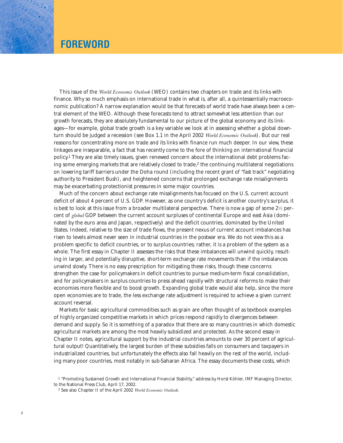## **FOREWORD**

This issue of the *World Economic Outlook* (WEO) contains two chapters on trade and its links with finance. Why so much emphasis on international trade in what is, after all, a quintessentially macroeconomic publication? A narrow explanation would be that forecasts of world trade have always been a central element of the WEO. Although these forecasts tend to attract somewhat less attention than our growth forecasts, they are absolutely fundamental to our picture of the global economy and its linkages—for example, global trade growth is a key variable we look at in assessing whether a global downturn should be judged a recession (see Box 1.1 in the April 2002 *World Economic Outlook*). But our real reasons for concentrating more on trade and its links with finance run much deeper. In our view, these linkages are inseparable, a fact that has recently come to the fore of thinking on international financial policy.1 They are also timely issues, given renewed concern about the international debt problems facing some emerging markets that are relatively closed to trade, $2$  the continuing multilateral negotiations on lowering tariff barriers under the Doha round (including the recent grant of "fast track" negotiating authority to President Bush), and heightened concerns that prolonged exchange rate misalignments may be exacerbating protectionist pressures in some major countries.

Much of the concern about exchange rate misalignments has focused on the U.S. current account deficit of about 4 percent of U.S. GDP. However, as one country's deficit is another country's surplus, it is best to look at this issue from a broader multilateral perspective. There is now a gap of some  $2\frac{1}{2}$  percent of *global* GDP between the current account surpluses of continental Europe and east Asia (dominated by the euro area and Japan, respectively) and the deficit countries, dominated by the United States. Indeed, relative to the size of trade flows, the present nexus of current account imbalances has risen to levels almost never seen in industrial countries in the postwar era. We do not view this as a problem specific to deficit countries, or to surplus countries; rather, it is a problem of the system as a whole. The first essay in Chapter II assesses the risks that these imbalances will unwind quickly, resulting in larger, and potentially disruptive, short-term exchange rate movements than if the imbalances unwind slowly. There is no easy prescription for mitigating these risks, though these concerns strengthen the case for policymakers in deficit countries to pursue medium-term fiscal consolidation, and for policymakers in surplus countries to press ahead rapidly with structural reforms to make their economies more flexible and to boost growth. Expanding global trade would also help, since the more open economies are to trade, the less exchange rate adjustment is required to achieve a given current account reversal.

Markets for basic agricultural commodities such as grain are often thought of as textbook examples of highly organized competitive markets in which prices respond rapidly to divergences between demand and supply. So it is something of a paradox that there are so many countries in which domestic agricultural markets are among the most heavily subsidized and protected. As the second essay in Chapter II notes, agricultural support by the industrial countries amounts to over 30 percent of agricultural output! Quantitatively, the largest burden of these subsidies falls on consumers and taxpayers in industrialized countries, but unfortunately the effects also fall heavily on the rest of the world, including many poor countries, most notably in sub-Saharan Africa. The essay documents these costs, which

<sup>&</sup>lt;sup>1</sup> "Promoting Sustained Growth and International Financial Stability," address by Horst Köhler, IMF Managing Director, to the National Press Club, April 17, 2002.

<sup>2</sup> See also Chapter II of the April 2002 *World Economic Outlook*.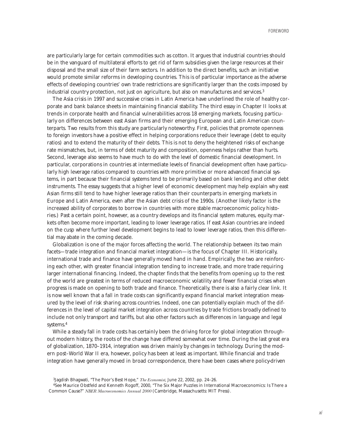are particularly large for certain commodities such as cotton. It argues that industrial countries should be in the vanguard of multilateral efforts to get rid of farm subsidies given the large resources at their disposal and the small size of their farm sectors. In addition to the direct benefits, such an initiative would promote similar reforms in developing countries. This is of particular importance as the adverse effects of developing countries' own trade restrictions are significantly larger than the costs imposed by industrial country protection, not just on agriculture, but also on manufactures and services.3

The Asia crisis in 1997 and successive crises in Latin America have underlined the role of healthy corporate and bank balance sheets in maintaining financial stability. The third essay in Chapter II looks at trends in corporate health and financial vulnerabilities across 18 emerging markets, focusing particularly on differences between east Asian firms and their emerging European and Latin American counterparts. Two results from this study are particularly noteworthy. First, policies that promote openness to foreign investors have a positive effect in helping corporations reduce their leverage (debt to equity ratios) and to extend the maturity of their debts. This is not to deny the heightened risks of exchange rate mismatches, but, in terms of debt maturity and composition, openness helps rather than hurts. Second, leverage also seems to have much to do with the level of domestic financial development. In particular, corporations in countries at intermediate levels of financial development often have particularly high leverage ratios compared to countries with more primitive or more advanced financial systems, in part because their financial systems tend to be primarily based on bank lending and other debt instruments. The essay suggests that a higher level of economic development may help explain why east Asian firms still tend to have higher leverage ratios than their counterparts in emerging markets in Europe and Latin America, even after the Asian debt crisis of the 1990s. (Another likely factor is the increased ability of corporates to borrow in countries with more stable macroeconomic policy histories.) Past a certain point, however, as a country develops and its financial system matures, equity markets often become more important, leading to lower leverage ratios. If east Asian countries are indeed on the cusp where further level development begins to lead to lower leverage ratios, then this differential may abate in the coming decade.

Globalization is one of the major forces affecting the world. The relationship between its two main facets—trade integration and financial market integration—is the focus of Chapter III. Historically, international trade and finance have generally moved hand in hand. Empirically, the two are reinforcing each other, with greater financial integration tending to increase trade, and more trade requiring larger international financing. Indeed, the chapter finds that the benefits from opening up to the rest of the world are greatest in terms of reduced macroeconomic volatility and fewer financial crises when progress is made on opening to both trade and finance. Theoretically, there is also a fairly clear link. It is now well known that a fall in trade costs can significantly expand financial market integration measured by the level of risk sharing across countries. Indeed, one can potentially explain much of the differences in the level of capital market integration across countries by trade frictions broadly defined to include not only transport and tariffs, but also other factors such as differences in language and legal systems.4

While a steady fall in trade costs has certainly been the driving force for global integration throughout modern history, the roots of the change have differed somewhat over time. During the last great era of globalization, 1870–1914, integration was driven mainly by changes in technology. During the modern post–World War II era, however, policy has been at least as important. While financial and trade integration have generally moved in broad correspondence, there have been cases where policy-driven

<sup>3</sup>Jagdish Bhagwati, "The Poor's Best Hope," *The Economist*, June 22, 2002, pp. 24–26.

<sup>4</sup>See Maurice Obstfeld and Kenneth Rogoff, 2000, "The Six Major Puzzles in International Macroeconomics: Is There a Common Cause?" *NBER Macroeconomics Annual 2000* (Cambridge, Massachusetts: MIT Press).